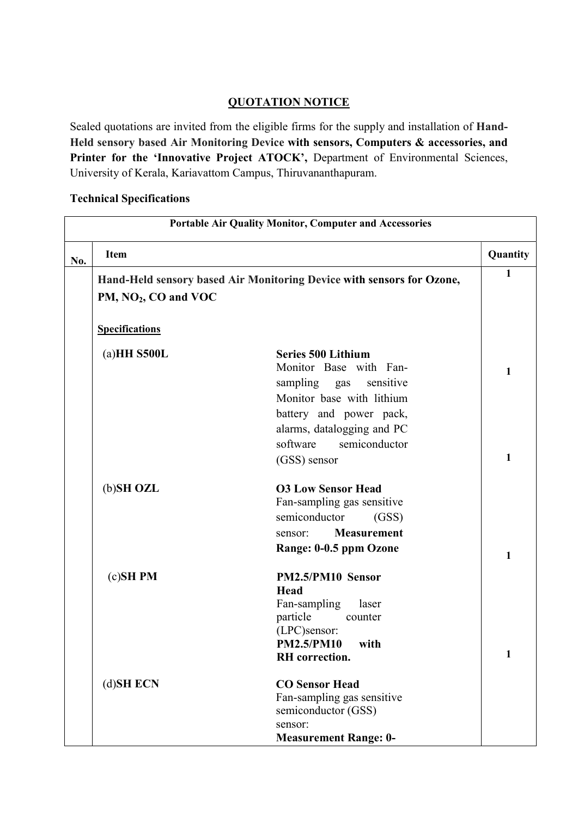## QUOTATION NOTICE

Sealed quotations are invited from the eligible firms for the supply and installation of Hand-Held sensory based Air Monitoring Device with sensors, Computers & accessories, and Printer for the 'Innovative Project ATOCK', Department of Environmental Sciences, University of Kerala, Kariavattom Campus, Thiruvananthapuram.

## Technical Specifications

| <b>Portable Air Quality Monitor, Computer and Accessories</b> |                        |                                                                       |              |  |  |
|---------------------------------------------------------------|------------------------|-----------------------------------------------------------------------|--------------|--|--|
| No.                                                           | <b>Item</b>            |                                                                       | Quantity     |  |  |
|                                                               |                        | Hand-Held sensory based Air Monitoring Device with sensors for Ozone, | $\mathbf{1}$ |  |  |
|                                                               | PM, $NO2$ , CO and VOC |                                                                       |              |  |  |
|                                                               |                        |                                                                       |              |  |  |
|                                                               | <b>Specifications</b>  |                                                                       |              |  |  |
|                                                               | $(a)HH$ S500L          | <b>Series 500 Lithium</b>                                             |              |  |  |
|                                                               |                        | Monitor Base with Fan-                                                | 1            |  |  |
|                                                               |                        | sampling gas sensitive                                                |              |  |  |
|                                                               |                        | Monitor base with lithium                                             |              |  |  |
|                                                               |                        | battery and power pack,                                               |              |  |  |
|                                                               |                        | alarms, datalogging and PC                                            |              |  |  |
|                                                               |                        | software<br>semiconductor                                             |              |  |  |
|                                                               |                        | (GSS) sensor                                                          | 1            |  |  |
|                                                               | (b)SH OZL              | <b>O3 Low Sensor Head</b>                                             |              |  |  |
|                                                               |                        | Fan-sampling gas sensitive                                            |              |  |  |
|                                                               |                        | semiconductor<br>(GSS)                                                |              |  |  |
|                                                               |                        | <b>Measurement</b><br>sensor:                                         |              |  |  |
|                                                               |                        | Range: 0-0.5 ppm Ozone                                                | 1            |  |  |
|                                                               | $(c)$ SH PM            | PM2.5/PM10 Sensor                                                     |              |  |  |
|                                                               |                        | Head                                                                  |              |  |  |
|                                                               |                        | Fan-sampling<br>laser                                                 |              |  |  |
|                                                               |                        | particle<br>counter<br>(LPC)sensor:                                   |              |  |  |
|                                                               |                        | <b>PM2.5/PM10</b><br>with                                             |              |  |  |
|                                                               |                        | <b>RH</b> correction.                                                 | 1            |  |  |
|                                                               | (d)SH ECN              | <b>CO Sensor Head</b>                                                 |              |  |  |
|                                                               |                        | Fan-sampling gas sensitive                                            |              |  |  |
|                                                               |                        | semiconductor (GSS)                                                   |              |  |  |
|                                                               |                        | sensor:                                                               |              |  |  |
|                                                               |                        | <b>Measurement Range: 0-</b>                                          |              |  |  |